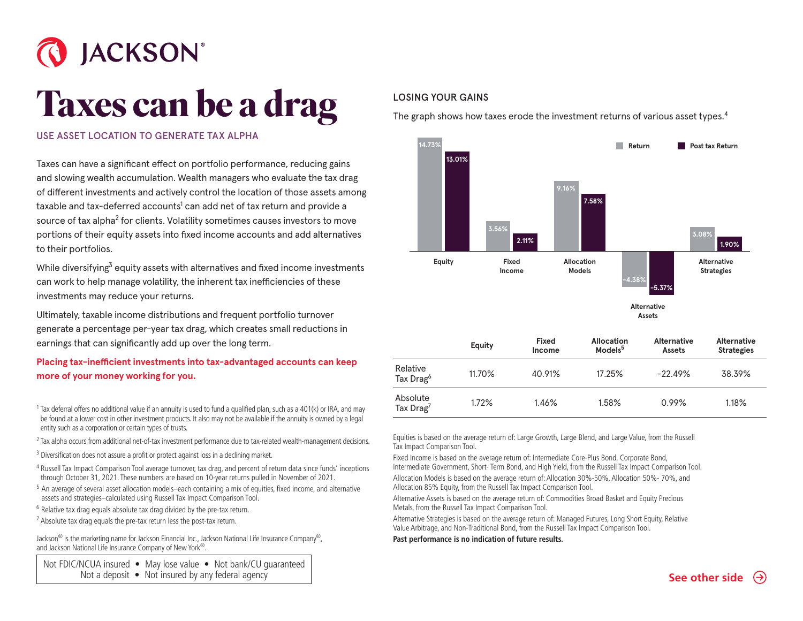

## **Taxes can be a drag**

## USE ASSET LOCATION TO GENERATE TAX ALPHA

Taxes can have a significant effect on portfolio performance, reducing gains and slowing wealth accumulation. Wealth managers who evaluate the tax drag of different investments and actively control the location of those assets among taxable and tax-deferred accounts<sup>1</sup> can add net of tax return and provide a source of tax alpha $^2$  for clients. Volatility sometimes causes investors to move portions of their equity assets into fixed income accounts and add alternatives to their portfolios.

While diversifying<sup>3</sup> equity assets with alternatives and fixed income investments can work to help manage volatility, the inherent tax inefficiencies of these investments may reduce your returns.

Ultimately, taxable income distributions and frequent portfolio turnover generate a percentage per-year tax drag, which creates small reductions in earnings that can significantly add up over the long term.

## **Placing tax-inefficient investments into tax-advantaged accounts can keep more of your money working for you.**

<sup>1</sup> Tax deferral offers no additional value if an annuity is used to fund a qualified plan, such as a 401(k) or IRA, and may be found at a lower cost in other investment products. It also may not be available if the annuity is owned by a legal entity such as a corporation or certain types of trusts.

- <sup>2</sup> Tax alpha occurs from additional net-of-tax investment performance due to tax-related wealth-management decisions.
- <sup>3</sup> Diversification does not assure a profit or protect against loss in a declining market.
- <sup>4</sup> Russell Tax Impact Comparison Tool average turnover, tax drag, and percent of return data since funds' inceptions through October 31, 2021. These numbers are based on 10-year returns pulled in November of 2021.
- <sup>5</sup> An average of several asset allocation models–each containing a mix of equities, fixed income, and alternative assets and strategies–calculated using Russell Tax Impact Comparison Tool.
- <sup>6</sup> Relative tax drag equals absolute tax drag divided by the pre-tax return.
- $7$  Absolute tax drag equals the pre-tax return less the post-tax return.

Jackson® is the marketing name for Jackson Financial Inc., Jackson National Life Insurance Company®, and Jackson National Life Insurance Company of New York®.

Not FDIC/NCUA insured • May lose value • Not bank/CU quaranteed Not a deposit • Not insured by any federal agency

## LOSING YOUR GAINS

The graph shows how taxes erode the investment returns of various asset types.<sup>4</sup>



|                                   | Equity | Fixed<br>Income | <b>Allocation</b><br>Models <sup>5</sup> | <b>Alternative</b><br><b>Assets</b> | <b>Alternative</b><br><b>Strategies</b> |
|-----------------------------------|--------|-----------------|------------------------------------------|-------------------------------------|-----------------------------------------|
| Relative<br>Tax Drag <sup>6</sup> | 11.70% | 40.91%          | 17.25%                                   | $-22.49%$                           | 38.39%                                  |
| Absolute<br>Tax $Drag7$           | 1.72%  | 1.46%           | 1.58%                                    | $0.99\%$                            | 1.18%                                   |

Equities is based on the average return of: Large Growth, Large Blend, and Large Value, from the Russell Tax Impact Comparison Tool.

Fixed Income is based on the average return of: Intermediate Core-Plus Bond, Corporate Bond, Intermediate Government, Short- Term Bond, and High Yield, from the Russell Tax Impact Comparison Tool. Allocation Models is based on the average return of: Allocation 30%-50%, Allocation 50%- 70%, and Allocation 85% Equity, from the Russell Tax Impact Comparison Tool.

Alternative Assets is based on the average return of: Commodities Broad Basket and Equity Precious Metals, from the Russell Tax Impact Comparison Tool.

Alternative Strategies is based on the average return of: Managed Futures, Long Short Equity, Relative Value Arbitrage, and Non-Traditional Bond, from the Russell Tax Impact Comparison Tool.

**Past performance is no indication of future results.**